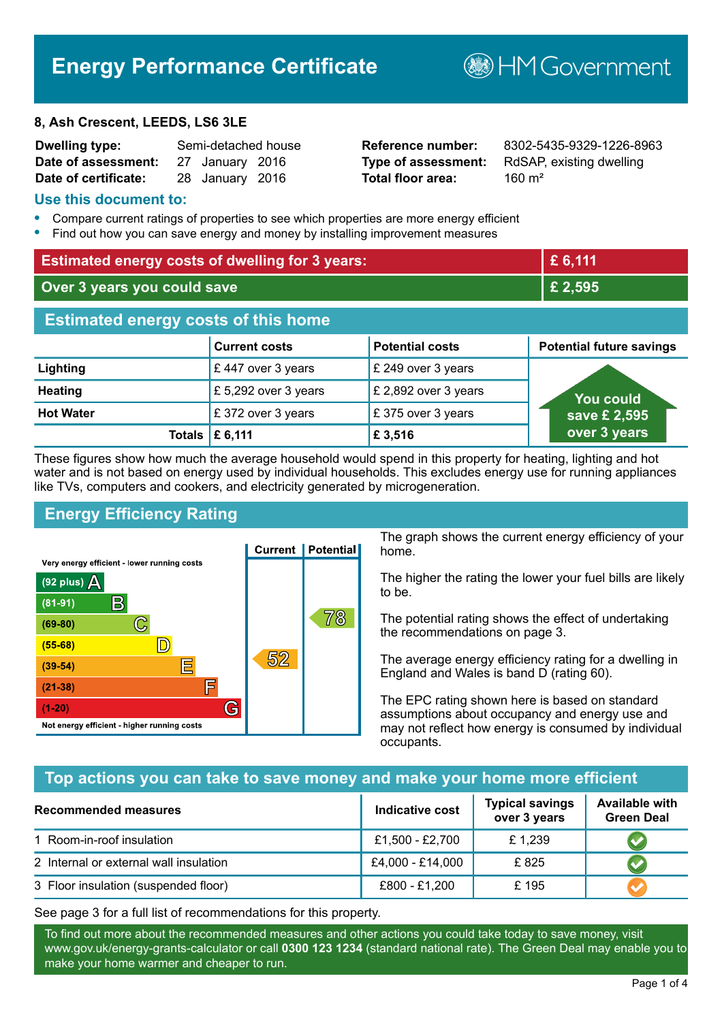# **Energy Performance Certificate**

#### **8, Ash Crescent, LEEDS, LS6 3LE**

| Dwelling type:       | Semi-detached house |                 |  |
|----------------------|---------------------|-----------------|--|
| Date of assessment:  |                     | 27 January 2016 |  |
| Date of certificate: |                     | 28 January 2016 |  |

# **Total floor area:** 28 160 m<sup>2</sup>

**Reference number:** 8302-5435-9329-1226-8963 **Type of assessment:** RdSAP, existing dwelling

**BHM Government** 

#### **Use this document to:**

- **•** Compare current ratings of properties to see which properties are more energy efficient
- **•** Find out how you can save energy and money by installing improvement measures

| <b>Estimated energy costs of dwelling for 3 years:</b> |                                  |                        | £ 6,111                         |
|--------------------------------------------------------|----------------------------------|------------------------|---------------------------------|
| Over 3 years you could save                            |                                  | £ 2,595                |                                 |
| <b>Estimated energy costs of this home</b>             |                                  |                        |                                 |
|                                                        | <b>Current costs</b>             | <b>Potential costs</b> | <b>Potential future savings</b> |
| Lighting                                               | £447 over 3 years                | £ 249 over 3 years     |                                 |
| <b>Heating</b>                                         | £ 5,292 over 3 years             | £ 2,892 over 3 years   | You could                       |
| <b>Hot Water</b>                                       | £372 over 3 years                | £375 over 3 years      | save £ 2,595                    |
|                                                        | Totals $\mathbf \mathsf E$ 6,111 | £ 3,516                | over 3 years                    |

These figures show how much the average household would spend in this property for heating, lighting and hot water and is not based on energy used by individual households. This excludes energy use for running appliances like TVs, computers and cookers, and electricity generated by microgeneration.

# **Energy Efficiency Rating**



The graph shows the current energy efficiency of your home.

The higher the rating the lower your fuel bills are likely to be.

The potential rating shows the effect of undertaking the recommendations on page 3.

The average energy efficiency rating for a dwelling in England and Wales is band D (rating 60).

The EPC rating shown here is based on standard assumptions about occupancy and energy use and may not reflect how energy is consumed by individual occupants.

## **Top actions you can take to save money and make your home more efficient**

| <b>Recommended measures</b>            | <b>Indicative cost</b> | <b>Typical savings</b><br>over 3 years | <b>Available with</b><br><b>Green Deal</b> |
|----------------------------------------|------------------------|----------------------------------------|--------------------------------------------|
| 1 Room-in-roof insulation              | £1,500 - £2,700        | £1,239                                 |                                            |
| 2 Internal or external wall insulation | £4,000 - £14,000       | £825                                   |                                            |
| 3 Floor insulation (suspended floor)   | £800 - £1,200          | £195                                   |                                            |

See page 3 for a full list of recommendations for this property.

To find out more about the recommended measures and other actions you could take today to save money, visit www.gov.uk/energy-grants-calculator or call **0300 123 1234** (standard national rate). The Green Deal may enable you to make your home warmer and cheaper to run.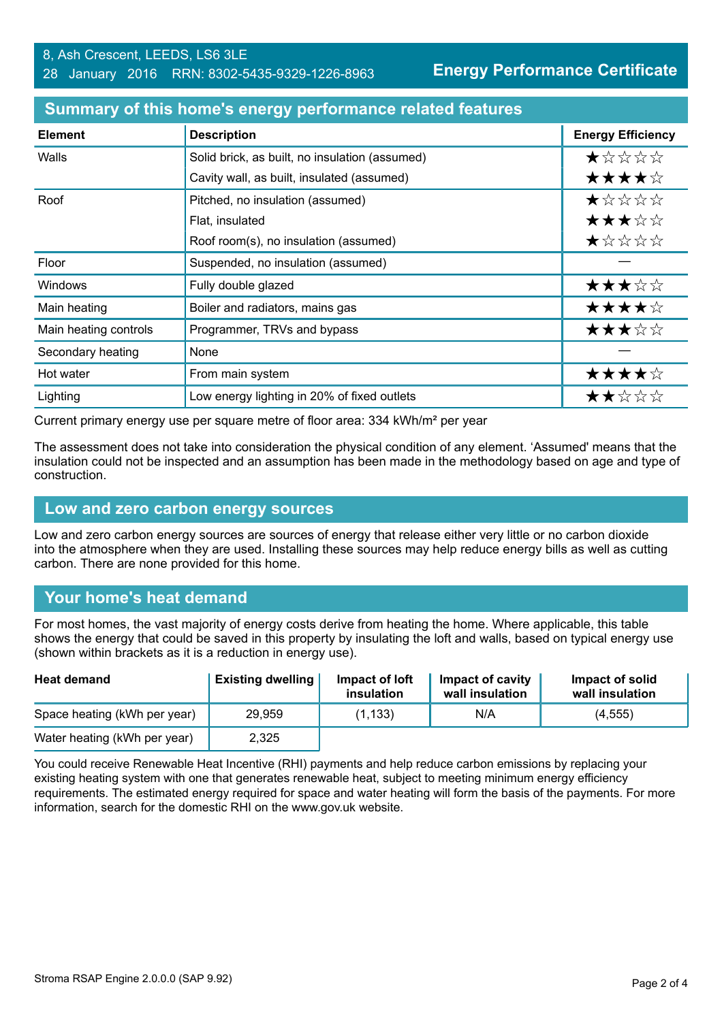| <b>Element</b>        | <b>Description</b>                             | <b>Energy Efficiency</b> |
|-----------------------|------------------------------------------------|--------------------------|
| Walls                 | Solid brick, as built, no insulation (assumed) | *****                    |
|                       | Cavity wall, as built, insulated (assumed)     | ★★★★☆                    |
| Roof                  | Pitched, no insulation (assumed)               | *****                    |
|                       | Flat, insulated                                | ★★★☆☆                    |
|                       | Roof room(s), no insulation (assumed)          | ★☆☆☆☆                    |
| Floor                 | Suspended, no insulation (assumed)             |                          |
| <b>Windows</b>        | Fully double glazed                            | ★★★☆☆                    |
| Main heating          | Boiler and radiators, mains gas                | ★★★★☆                    |
| Main heating controls | Programmer, TRVs and bypass                    | ★★★☆☆                    |
| Secondary heating     | None                                           |                          |
| Hot water             | From main system                               | ★★★★☆                    |
| Lighting              | Low energy lighting in 20% of fixed outlets    | ★★☆☆☆                    |

#### **Summary of this home's energy performance related features**

Current primary energy use per square metre of floor area: 334 kWh/m² per year

The assessment does not take into consideration the physical condition of any element. 'Assumed' means that the insulation could not be inspected and an assumption has been made in the methodology based on age and type of construction.

#### **Low and zero carbon energy sources**

Low and zero carbon energy sources are sources of energy that release either very little or no carbon dioxide into the atmosphere when they are used. Installing these sources may help reduce energy bills as well as cutting carbon. There are none provided for this home.

#### **Your home's heat demand**

For most homes, the vast majority of energy costs derive from heating the home. Where applicable, this table shows the energy that could be saved in this property by insulating the loft and walls, based on typical energy use (shown within brackets as it is a reduction in energy use).

| <b>Heat demand</b>           | <b>Existing dwelling</b> | Impact of loft<br>insulation | <b>Impact of cavity</b><br>wall insulation | Impact of solid<br>wall insulation |
|------------------------------|--------------------------|------------------------------|--------------------------------------------|------------------------------------|
| Space heating (kWh per year) | 29.959                   | (1, 133)                     | N/A                                        | (4, 555)                           |
| Water heating (kWh per year) | 2,325                    |                              |                                            |                                    |

You could receive Renewable Heat Incentive (RHI) payments and help reduce carbon emissions by replacing your existing heating system with one that generates renewable heat, subject to meeting minimum energy efficiency requirements. The estimated energy required for space and water heating will form the basis of the payments. For more information, search for the domestic RHI on the www.gov.uk website.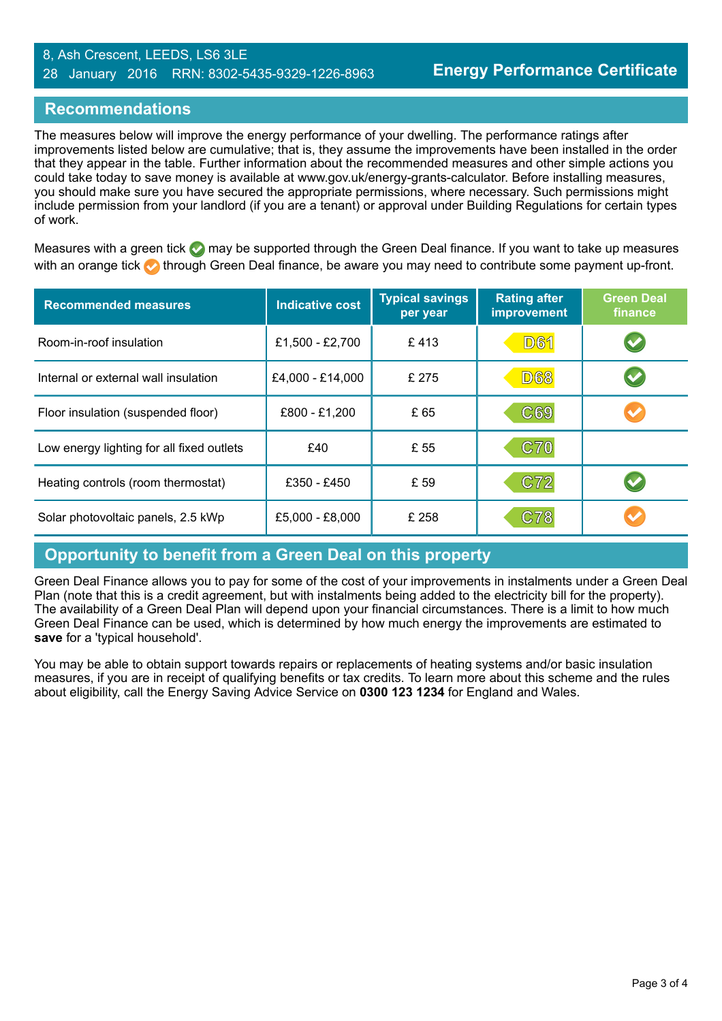#### 8, Ash Crescent, LEEDS, LS6 3LE 28 January 2016 RRN: 8302-5435-9329-1226-8963

### **Recommendations**

The measures below will improve the energy performance of your dwelling. The performance ratings after improvements listed below are cumulative; that is, they assume the improvements have been installed in the order that they appear in the table. Further information about the recommended measures and other simple actions you could take today to save money is available at www.gov.uk/energy-grants-calculator. Before installing measures, you should make sure you have secured the appropriate permissions, where necessary. Such permissions might include permission from your landlord (if you are a tenant) or approval under Building Regulations for certain types of work.

Measures with a green tick  $\bullet$  may be supported through the Green Deal finance. If you want to take up measures with an orange tick **th** through Green Deal finance, be aware you may need to contribute some payment up-front.

| <b>Recommended measures</b>               | <b>Indicative cost</b> | <b>Typical savings</b><br>per year | <b>Rating after</b><br>improvement | <b>Green Deal</b><br>finance |
|-------------------------------------------|------------------------|------------------------------------|------------------------------------|------------------------------|
| Room-in-roof insulation                   | £1,500 - £2,700        | £413                               | <b>D61</b>                         | $\blacktriangledown$         |
| Internal or external wall insulation      | £4,000 - £14,000       | £ 275                              | <b>D68</b>                         |                              |
| Floor insulation (suspended floor)        | £800 - £1,200          | £ 65                               | C69                                |                              |
| Low energy lighting for all fixed outlets | £40                    | £ 55                               | C70                                |                              |
| Heating controls (room thermostat)        | £350 - £450            | £ 59                               | C72                                |                              |
| Solar photovoltaic panels, 2.5 kWp        | £5,000 - £8,000        | £ 258                              | C78                                |                              |

#### **Opportunity to benefit from a Green Deal on this property**

Green Deal Finance allows you to pay for some of the cost of your improvements in instalments under a Green Deal Plan (note that this is a credit agreement, but with instalments being added to the electricity bill for the property). The availability of a Green Deal Plan will depend upon your financial circumstances. There is a limit to how much Green Deal Finance can be used, which is determined by how much energy the improvements are estimated to **save** for a 'typical household'.

You may be able to obtain support towards repairs or replacements of heating systems and/or basic insulation measures, if you are in receipt of qualifying benefits or tax credits. To learn more about this scheme and the rules about eligibility, call the Energy Saving Advice Service on **0300 123 1234** for England and Wales.